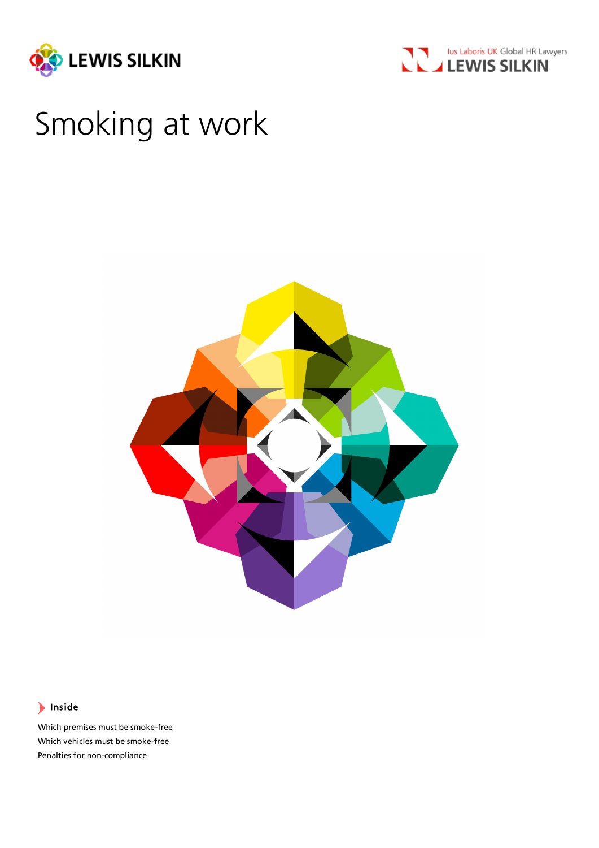



# Smoking at work



# Inside

Which premises must be smoke-free Which vehicles must be smoke-free Penalties for non-compliance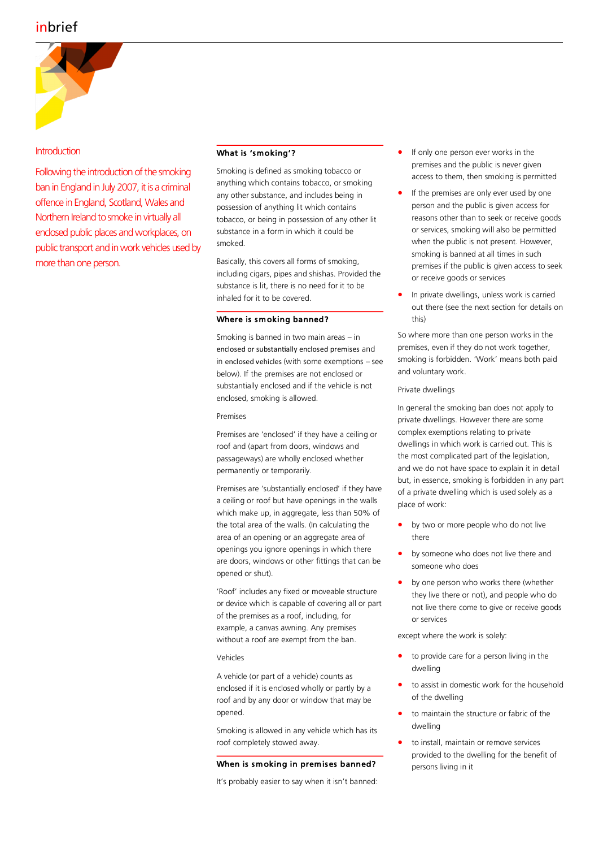# inbrief



# **Introduction**

Following the introduction of the smoking ban in England in July 2007, it is a criminal offence in England, Scotland, Wales and Northern Ireland to smoke in virtually all enclosed public places and workplaces, on public transport and in work vehicles used by more than one person.

# What is 'smoking'?

Smoking is defined as smoking tobacco or anything which contains tobacco, or smoking any other substance, and includes being in possession of anything lit which contains tobacco, or being in possession of any other lit substance in a form in which it could be smoked.

Basically, this covers all forms of smoking, including cigars, pipes and shishas. Provided the substance is lit, there is no need for it to be inhaled for it to be covered.

#### Where is sm oking banned?

Smoking is banned in two main areas – in enclosed or substantially enclosed premises and in enclosed vehicles (with some exemptions – see below). If the premises are not enclosed or substantially enclosed and if the vehicle is not enclosed, smoking is allowed.

Premises

Premises are 'enclosed' if they have a ceiling or roof and (apart from doors, windows and passageways) are wholly enclosed whether permanently or temporarily.

Premises are 'substantially enclosed' if they have a ceiling or roof but have openings in the walls which make up, in aggregate, less than 50% of the total area of the walls. (In calculating the area of an opening or an aggregate area of openings you ignore openings in which there are doors, windows or other fittings that can be opened or shut).

'Roof' includes any fixed or moveable structure or device which is capable of covering all or part of the premises as a roof, including, for example, a canvas awning. Any premises without a roof are exempt from the ban.

#### Vehicles

A vehicle (or part of a vehicle) counts as enclosed if it is enclosed wholly or partly by a roof and by any door or window that may be opened.

Smoking is allowed in any vehicle which has its roof completely stowed away.

#### When is smoking in premises banned?

It's probably easier to say when it isn't banned:

- If only one person ever works in the premises and the public is never given access to them, then smoking is permitted
- If the premises are only ever used by one person and the public is given access for reasons other than to seek or receive goods or services, smoking will also be permitted when the public is not present. However, smoking is banned at all times in such premises if the public is given access to seek or receive goods or services
- In private dwellings, unless work is carried out there (see the next section for details on this)

So where more than one person works in the premises, even if they do not work together, smoking is forbidden. 'Work' means both paid and voluntary work.

#### Private dwellings

In general the smoking ban does not apply to private dwellings. However there are some complex exemptions relating to private dwellings in which work is carried out. This is the most complicated part of the legislation, and we do not have space to explain it in detail but, in essence, smoking is forbidden in any part of a private dwelling which is used solely as a place of work:

- by two or more people who do not live there
- by someone who does not live there and someone who does
- by one person who works there (whether they live there or not), and people who do not live there come to give or receive goods or services

except where the work is solely:

- to provide care for a person living in the dwelling
- to assist in domestic work for the household of the dwelling
- to maintain the structure or fabric of the dwelling
- to install, maintain or remove services provided to the dwelling for the benefit of persons living in it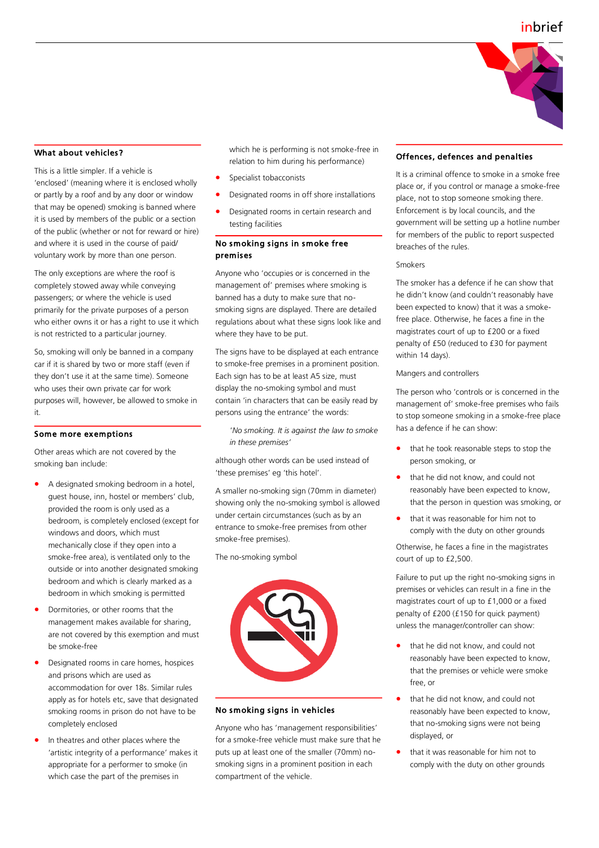

#### What about vehicles?

This is a little simpler. If a vehicle is 'enclosed' (meaning where it is enclosed wholly or partly by a roof and by any door or window that may be opened) smoking is banned where it is used by members of the public or a section of the public (whether or not for reward or hire) and where it is used in the course of paid/ voluntary work by more than one person.

The only exceptions are where the roof is completely stowed away while conveying passengers; or where the vehicle is used primarily for the private purposes of a person who either owns it or has a right to use it which is not restricted to a particular journey.

So, smoking will only be banned in a company car if it is shared by two or more staff (even if they don't use it at the same time). Someone who uses their own private car for work purposes will, however, be allowed to smoke in it.

#### Some more exemptions

Other areas which are not covered by the smoking ban include:

- A designated smoking bedroom in a hotel, guest house, inn, hostel or members' club, provided the room is only used as a bedroom, is completely enclosed (except for windows and doors, which must mechanically close if they open into a smoke-free area), is ventilated only to the outside or into another designated smoking bedroom and which is clearly marked as a bedroom in which smoking is permitted
- Dormitories, or other rooms that the management makes available for sharing, are not covered by this exemption and must be smoke-free
- Designated rooms in care homes, hospices and prisons which are used as accommodation for over 18s. Similar rules apply as for hotels etc, save that designated smoking rooms in prison do not have to be completely enclosed
- In theatres and other places where the 'artistic integrity of a performance' makes it appropriate for a performer to smoke (in which case the part of the premises in

which he is performing is not smoke-free in relation to him during his performance)

- Specialist tobacconists
- Designated rooms in off shore installations
- Designated rooms in certain research and testing facilities

# No smoking signs in smoke free premises

Anyone who 'occupies or is concerned in the management of' premises where smoking is banned has a duty to make sure that nosmoking signs are displayed. There are detailed regulations about what these signs look like and where they have to be put.

The signs have to be displayed at each entrance to smoke-free premises in a prominent position. Each sign has to be at least A5 size, must display the no-smoking symbol and must contain 'in characters that can be easily read by persons using the entrance' the words:

'*No smoking. It is against the law to smoke in these premises'*

although other words can be used instead of 'these premises' eg 'this hotel'.

A smaller no-smoking sign (70mm in diameter) showing only the no-smoking symbol is allowed under certain circumstances (such as by an entrance to smoke-free premises from other smoke-free premises).

The no-smoking symbol



# No smoking signs in vehicles

Anyone who has 'management responsibilities' for a smoke-free vehicle must make sure that he puts up at least one of the smaller (70mm) nosmoking signs in a prominent position in each compartment of the vehicle.

#### Offences, defences and penalties

It is a criminal offence to smoke in a smoke free place or, if you control or manage a smoke-free place, not to stop someone smoking there. Enforcement is by local councils, and the government will be setting up a hotline number for members of the public to report suspected breaches of the rules.

#### Smokers

The smoker has a defence if he can show that he didn't know (and couldn't reasonably have been expected to know) that it was a smokefree place. Otherwise, he faces a fine in the magistrates court of up to £200 or a fixed penalty of £50 (reduced to £30 for payment within 14 days).

Mangers and controllers

The person who 'controls or is concerned in the management of' smoke-free premises who fails to stop someone smoking in a smoke-free place has a defence if he can show:

- that he took reasonable steps to stop the person smoking, or
- that he did not know, and could not reasonably have been expected to know, that the person in question was smoking, or
- that it was reasonable for him not to comply with the duty on other grounds

Otherwise, he faces a fine in the magistrates court of up to £2,500.

Failure to put up the right no-smoking signs in premises or vehicles can result in a fine in the magistrates court of up to £1,000 or a fixed penalty of £200 (£150 for quick payment) unless the manager/controller can show:

- that he did not know, and could not reasonably have been expected to know, that the premises or vehicle were smoke free, or
- that he did not know, and could not reasonably have been expected to know, that no-smoking signs were not being displayed, or
- that it was reasonable for him not to comply with the duty on other grounds